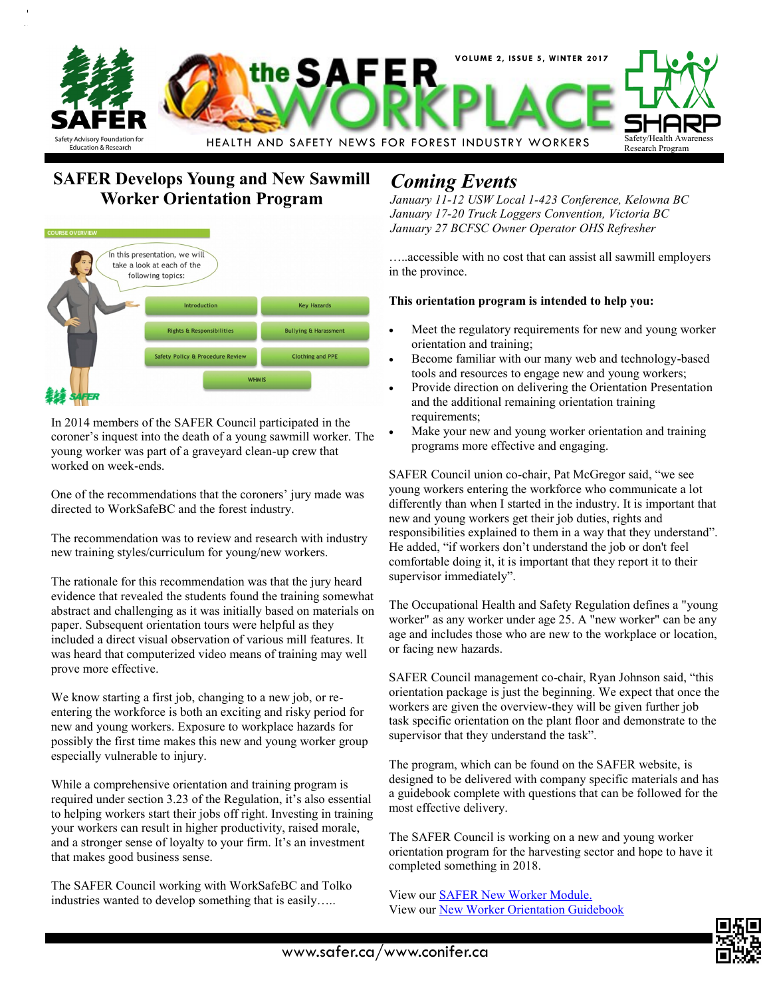

# **SAFER Develops Young and New Sawmill Worker Orientation Program**



In 2014 members of the SAFER Council participated in the coroner's inquest into the death of a young sawmill worker. The young worker was part of a graveyard clean-up crew that worked on week-ends.

One of the recommendations that the coroners' jury made was directed to WorkSafeBC and the forest industry.

The recommendation was to review and research with industry new training styles/curriculum for young/new workers.

The rationale for this recommendation was that the jury heard evidence that revealed the students found the training somewhat abstract and challenging as it was initially based on materials on paper. Subsequent orientation tours were helpful as they included a direct visual observation of various mill features. It was heard that computerized video means of training may well prove more effective.

We know starting a first job, changing to a new job, or reentering the workforce is both an exciting and risky period for new and young workers. Exposure to workplace hazards for possibly the first time makes this new and young worker group especially vulnerable to injury.

While a comprehensive orientation and training program is required under section 3.23 of the Regulation, it's also essential to helping workers start their jobs off right. Investing in training your workers can result in higher productivity, raised morale, and a stronger sense of loyalty to your firm. It's an investment that makes good business sense.

The SAFER Council working with WorkSafeBC and Tolko industries wanted to develop something that is easily…..

# *Coming Events*

*January 11-12 USW Local 1-423 Conference, Kelowna BC January 17-20 Truck Loggers Convention, Victoria BC January 27 BCFSC Owner Operator OHS Refresher*

…..accessible with no cost that can assist all sawmill employers in the province.

#### **This orientation program is intended to help you:**

- Meet the regulatory requirements for new and young worker orientation and training;
- Become familiar with our many web and technology-based tools and resources to engage new and young workers;
- Provide direction on delivering the Orientation Presentation and the additional remaining orientation training requirements;
- Make your new and young worker orientation and training programs more effective and engaging.

SAFER Council union co-chair, Pat McGregor said, "we see young workers entering the workforce who communicate a lot differently than when I started in the industry. It is important that new and young workers get their job duties, rights and responsibilities explained to them in a way that they understand". He added, "if workers don't understand the job or don't feel comfortable doing it, it is important that they report it to their supervisor immediately".

The Occupational Health and Safety Regulation defines a "young worker" as any worker under age 25. A "new worker" can be any age and includes those who are new to the workplace or location, or facing new hazards.

SAFER Council management co-chair, Ryan Johnson said, "this orientation package is just the beginning. We expect that once the workers are given the overview-they will be given further job task specific orientation on the plant floor and demonstrate to the supervisor that they understand the task".

The program, which can be found on the SAFER website, is designed to be delivered with company specific materials and has a guidebook complete with questions that can be followed for the most effective delivery.

The SAFER Council is working on a new and young worker orientation program for the harvesting sector and hope to have it completed something in 2018.

View our [SAFER New Worker Module.](http://www.safer.ca/Safer-NWOM/story_html5.html?RD=1) View our [New Worker Orientation Guidebook](http://www.safer.ca/safer-new-worker-orientation.htm)